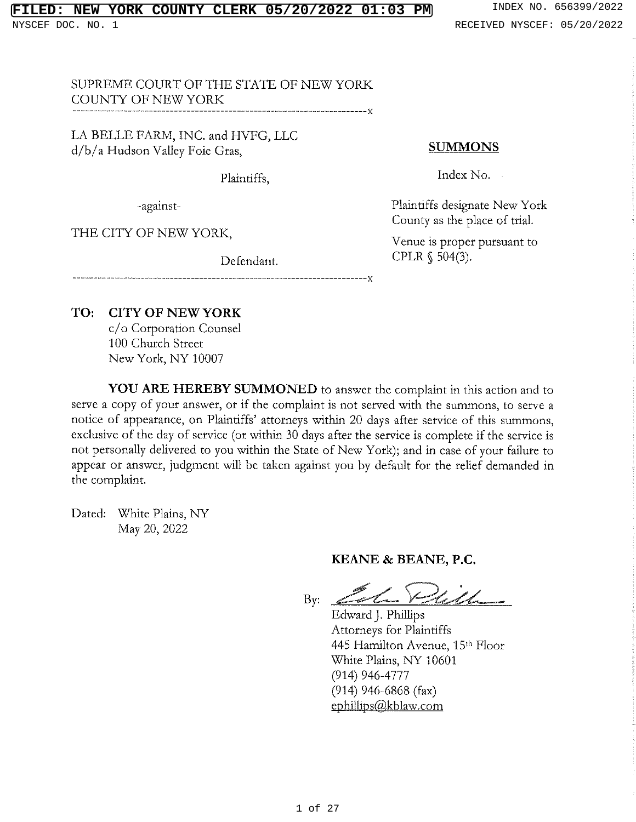# **FIRE COUNTY CLERK 05/20/2022 01:03 PM** INDEX NO. 656399/2022

NYSCEF DOC. NO. 1 RECEIVED NYSCEF: 05/20/2022

SUPREME COURT OF THE STATE OF NEW YORK COUNTY OF NEW YORK -----------------V

LA BELLE FARM, INC. and HVFG, LLC d/b/a Hudson Valley Foie Gras,

Plaintiffs,

-against-

THE CITY OF NEW YORK,

Defendant.

# **SUMMONS**

Index No.

Plaintiffs designate New York County as the place of trial.

Venue is proper pursuant to CPLR § 504(3).

TO: **CITY OF NEW YORK** 

> c/o Corporation Counsel 100 Church Street New York, NY 10007

**YOU ARE HEREBY SUMMONED** to answer the complaint in this action and to serve a copy of your answer, or if the complaint is not served with the summons, to serve a notice of appearance, on Plaintiffs' attorneys within 20 days after service of this summons, exclusive of the day of service (or within 30 days after the service is complete if the service is not personally delivered to you within the State of New York); and in case of your failure to appear or answer, judgment will be taken against you by default for the relief demanded in the complaint.

-------------X

Dated: White Plains, NY May 20, 2022

### KEANE & BEANE, P.C.

i<br>Chamara  $By:$ 

Edward J. Phillips Attorneys for Plaintiffs 445 Hamilton Avenue, 15th Floor White Plains, NY 10601  $(914)$  946-4777  $(914)$  946-6868 (fax) ephillips@kblaw.com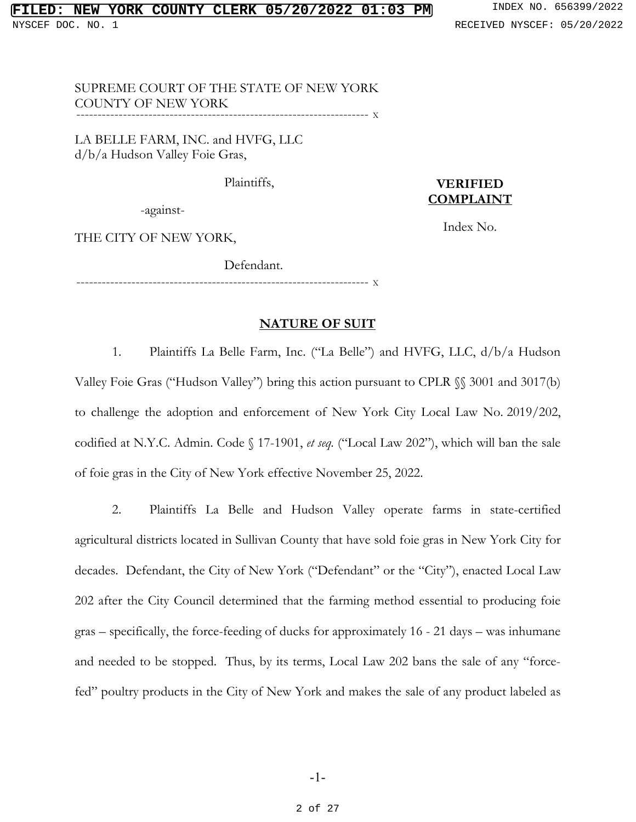#### SUPREME COURT OF THE STATE OF NEW YORK COUNTY OF NEW YORK --------------------------------------------------------------------- <sup>X</sup>

--------------------------------------------------------------------- <sup>X</sup>

LA BELLE FARM, INC. and HVFG, LLC d/b/a Hudson Valley Foie Gras,

Plaintiffs,

# **VERIFIED COMPLAINT**

Index No.

-against-

THE CITY OF NEW YORK,

Defendant.

**NATURE OF SUIT**

1. Plaintiffs La Belle Farm, Inc. ("La Belle") and HVFG, LLC, d/b/a Hudson Valley Foie Gras ("Hudson Valley") bring this action pursuant to CPLR §§ 3001 and 3017(b) to challenge the adoption and enforcement of New York City Local Law No. 2019/202, codified at N.Y.C. Admin. Code § 17-1901, *et seq.* ("Local Law 202"), which will ban the sale of foie gras in the City of New York effective November 25, 2022.

2. Plaintiffs La Belle and Hudson Valley operate farms in state-certified agricultural districts located in Sullivan County that have sold foie gras in New York City for decades. Defendant, the City of New York ("Defendant" or the "City"), enacted Local Law 202 after the City Council determined that the farming method essential to producing foie gras – specifically, the force-feeding of ducks for approximately 16 - 21 days – was inhumane and needed to be stopped. Thus, by its terms, Local Law 202 bans the sale of any "forcefed" poultry products in the City of New York and makes the sale of any product labeled as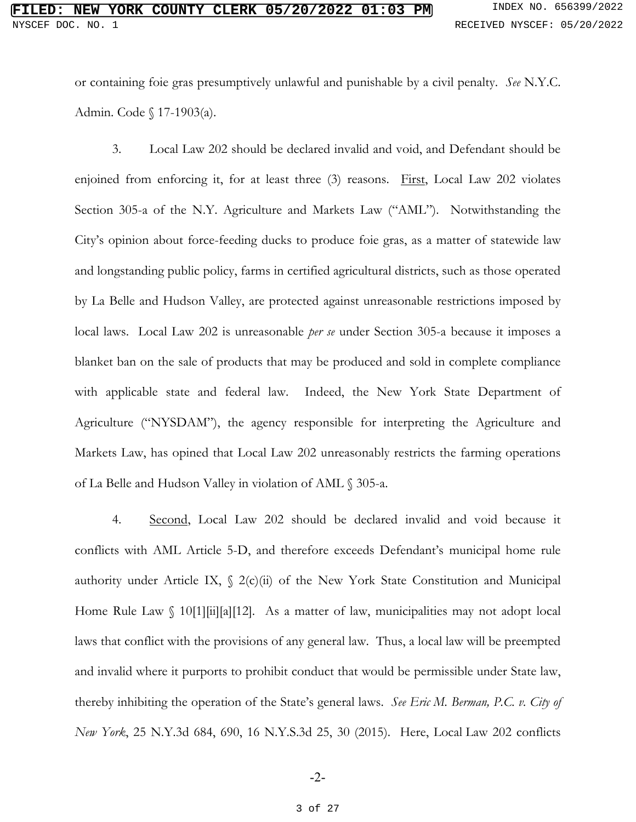or containing foie gras presumptively unlawful and punishable by a civil penalty. *See* N.Y.C. Admin. Code § 17-1903(a).

3. Local Law 202 should be declared invalid and void, and Defendant should be enjoined from enforcing it, for at least three (3) reasons. First, Local Law 202 violates Section 305-a of the N.Y. Agriculture and Markets Law ("AML"). Notwithstanding the City's opinion about force-feeding ducks to produce foie gras, as a matter of statewide law and longstanding public policy, farms in certified agricultural districts, such as those operated by La Belle and Hudson Valley, are protected against unreasonable restrictions imposed by local laws. Local Law 202 is unreasonable *per se* under Section 305-a because it imposes a blanket ban on the sale of products that may be produced and sold in complete compliance with applicable state and federal law. Indeed, the New York State Department of Agriculture ("NYSDAM"), the agency responsible for interpreting the Agriculture and Markets Law, has opined that Local Law 202 unreasonably restricts the farming operations of La Belle and Hudson Valley in violation of AML § 305-a.

4. Second, Local Law 202 should be declared invalid and void because it conflicts with AML Article 5-D, and therefore exceeds Defendant's municipal home rule authority under Article IX,  $\int 2(c)(\vec{u})$  of the New York State Constitution and Municipal Home Rule Law  $\int 10[1][\text{ii}][a][12]$ . As a matter of law, municipalities may not adopt local laws that conflict with the provisions of any general law. Thus, a local law will be preempted and invalid where it purports to prohibit conduct that would be permissible under State law, thereby inhibiting the operation of the State's general laws. *See Eric M. Berman, P.C. v. City of New York*, 25 N.Y.3d 684, 690, 16 N.Y.S.3d 25, 30 (2015). Here, Local Law 202 conflicts

-2-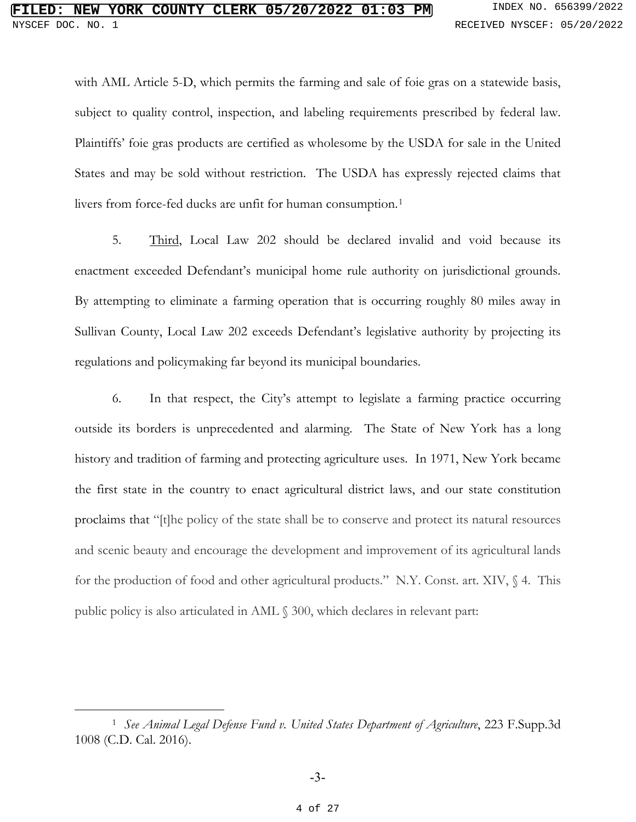with AML Article 5-D, which permits the farming and sale of foie gras on a statewide basis, subject to quality control, inspection, and labeling requirements prescribed by federal law. Plaintiffs' foie gras products are certified as wholesome by the USDA for sale in the United States and may be sold without restriction. The USDA has expressly rejected claims that livers from force-fed ducks are unfit for human consumption.<sup>1</sup>

5. Third, Local Law 202 should be declared invalid and void because its enactment exceeded Defendant's municipal home rule authority on jurisdictional grounds. By attempting to eliminate a farming operation that is occurring roughly 80 miles away in Sullivan County, Local Law 202 exceeds Defendant's legislative authority by projecting its regulations and policymaking far beyond its municipal boundaries.

6. In that respect, the City's attempt to legislate a farming practice occurring outside its borders is unprecedented and alarming. The State of New York has a long history and tradition of farming and protecting agriculture uses. In 1971, New York became the first state in the country to enact agricultural district laws, and our state constitution proclaims that "[t]he policy of the state shall be to conserve and protect its natural resources and scenic beauty and encourage the development and improvement of its agricultural lands for the production of food and other agricultural products." N.Y. Const. art. XIV, § 4. This public policy is also articulated in AML § 300, which declares in relevant part:

<span id="page-3-0"></span><sup>1</sup> *See Animal Legal Defense Fund v. United States Department of Agriculture*, 223 F.Supp.3d 1008 (C.D. Cal. 2016).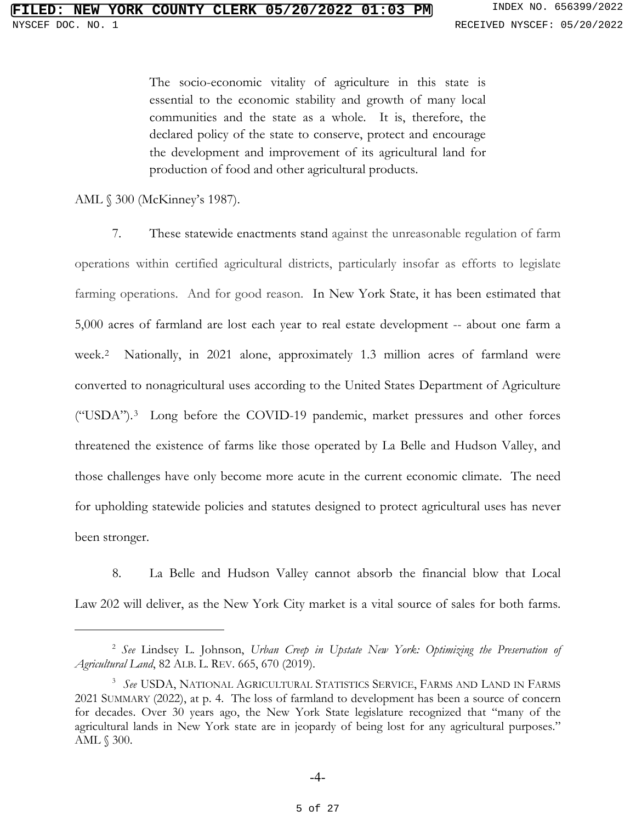The socio-economic vitality of agriculture in this state is essential to the economic stability and growth of many local communities and the state as a whole. It is, therefore, the declared policy of the state to conserve, protect and encourage the development and improvement of its agricultural land for production of food and other agricultural products.

AML § 300 (McKinney's 1987).

7. These statewide enactments stand against the unreasonable regulation of farm operations within certified agricultural districts, particularly insofar as efforts to legislate farming operations. And for good reason. In New York State, it has been estimated that 5,000 acres of farmland are lost each year to real estate development -- about one farm a week.[2](#page-4-0) Nationally, in 2021 alone, approximately 1.3 million acres of farmland were converted to nonagricultural uses according to the United States Department of Agriculture ("USDA").[3](#page-4-1) Long before the COVID-19 pandemic, market pressures and other forces threatened the existence of farms like those operated by La Belle and Hudson Valley, and those challenges have only become more acute in the current economic climate. The need for upholding statewide policies and statutes designed to protect agricultural uses has never been stronger.

8. La Belle and Hudson Valley cannot absorb the financial blow that Local Law 202 will deliver, as the New York City market is a vital source of sales for both farms.

<span id="page-4-0"></span><sup>2</sup> *See* Lindsey L. Johnson, *Urban Creep in Upstate New York: Optimizing the Preservation of Agricultural Land*, 82 ALB. L. REV. 665, 670 (2019).

<span id="page-4-1"></span><sup>3</sup> *See* USDA, NATIONAL AGRICULTURAL STATISTICS SERVICE, FARMS AND LAND IN FARMS 2021 SUMMARY (2022), at p. 4. The loss of farmland to development has been a source of concern for decades. Over 30 years ago, the New York State legislature recognized that "many of the agricultural lands in New York state are in jeopardy of being lost for any agricultural purposes." AML § 300.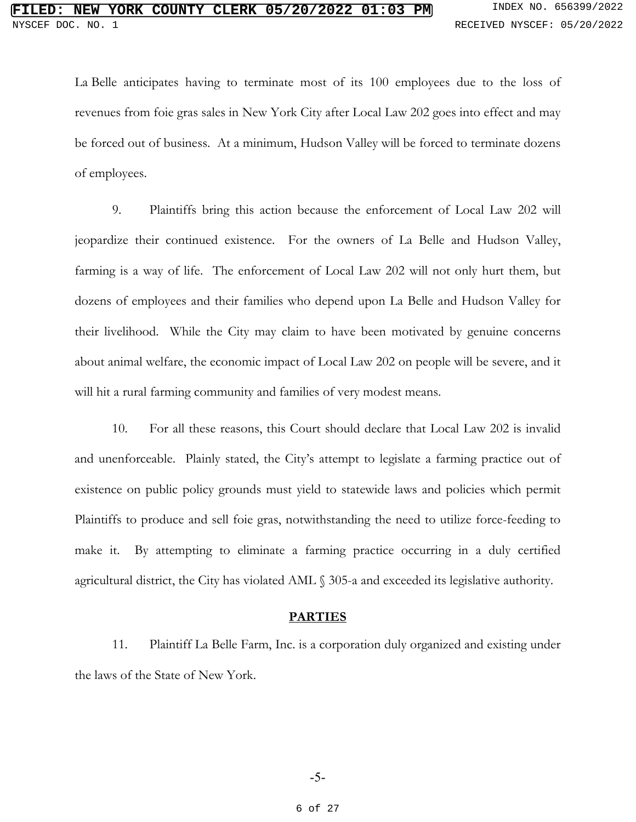La Belle anticipates having to terminate most of its 100 employees due to the loss of revenues from foie gras sales in New York City after Local Law 202 goes into effect and may be forced out of business. At a minimum, Hudson Valley will be forced to terminate dozens of employees.

9. Plaintiffs bring this action because the enforcement of Local Law 202 will jeopardize their continued existence. For the owners of La Belle and Hudson Valley, farming is a way of life. The enforcement of Local Law 202 will not only hurt them, but dozens of employees and their families who depend upon La Belle and Hudson Valley for their livelihood. While the City may claim to have been motivated by genuine concerns about animal welfare, the economic impact of Local Law 202 on people will be severe, and it will hit a rural farming community and families of very modest means.

10. For all these reasons, this Court should declare that Local Law 202 is invalid and unenforceable. Plainly stated, the City's attempt to legislate a farming practice out of existence on public policy grounds must yield to statewide laws and policies which permit Plaintiffs to produce and sell foie gras, notwithstanding the need to utilize force-feeding to make it. By attempting to eliminate a farming practice occurring in a duly certified agricultural district, the City has violated AML § 305-a and exceeded its legislative authority.

#### **PARTIES**

11. Plaintiff La Belle Farm, Inc. is a corporation duly organized and existing under the laws of the State of New York.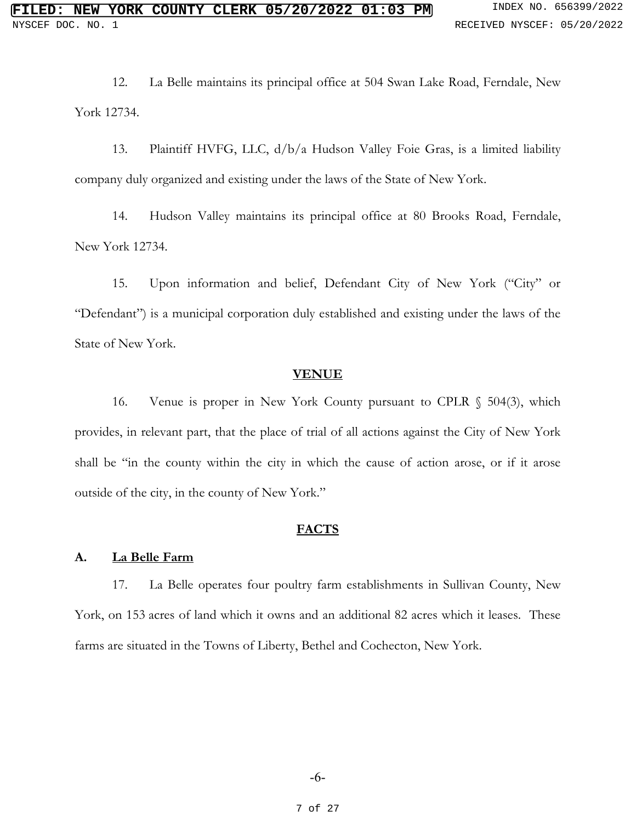12. La Belle maintains its principal office at 504 Swan Lake Road, Ferndale, New York 12734.

13. Plaintiff HVFG, LLC, d/b/a Hudson Valley Foie Gras, is a limited liability company duly organized and existing under the laws of the State of New York.

14. Hudson Valley maintains its principal office at 80 Brooks Road, Ferndale, New York 12734.

15. Upon information and belief, Defendant City of New York ("City" or "Defendant") is a municipal corporation duly established and existing under the laws of the State of New York.

#### **VENUE**

16. Venue is proper in New York County pursuant to CPLR § 504(3), which provides, in relevant part, that the place of trial of all actions against the City of New York shall be "in the county within the city in which the cause of action arose, or if it arose outside of the city, in the county of New York."

### **FACTS**

#### **A. La Belle Farm**

17. La Belle operates four poultry farm establishments in Sullivan County, New York, on 153 acres of land which it owns and an additional 82 acres which it leases. These farms are situated in the Towns of Liberty, Bethel and Cochecton, New York.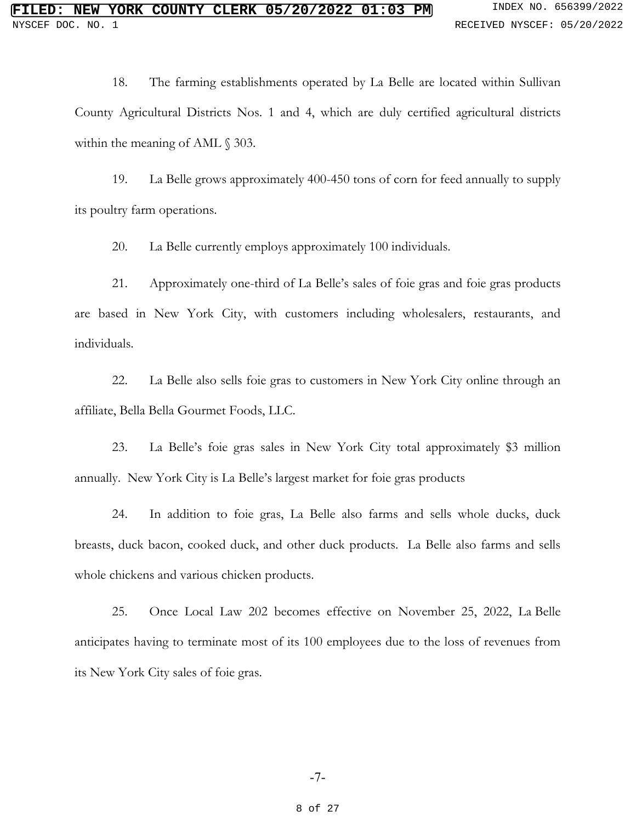18. The farming establishments operated by La Belle are located within Sullivan County Agricultural Districts Nos. 1 and 4, which are duly certified agricultural districts within the meaning of AML  $\S$  303.

19. La Belle grows approximately 400-450 tons of corn for feed annually to supply its poultry farm operations.

20. La Belle currently employs approximately 100 individuals.

21. Approximately one-third of La Belle's sales of foie gras and foie gras products are based in New York City, with customers including wholesalers, restaurants, and individuals.

22. La Belle also sells foie gras to customers in New York City online through an affiliate, Bella Bella Gourmet Foods, LLC.

23. La Belle's foie gras sales in New York City total approximately \$3 million annually. New York City is La Belle's largest market for foie gras products

24. In addition to foie gras, La Belle also farms and sells whole ducks, duck breasts, duck bacon, cooked duck, and other duck products. La Belle also farms and sells whole chickens and various chicken products.

25. Once Local Law 202 becomes effective on November 25, 2022, La Belle anticipates having to terminate most of its 100 employees due to the loss of revenues from its New York City sales of foie gras.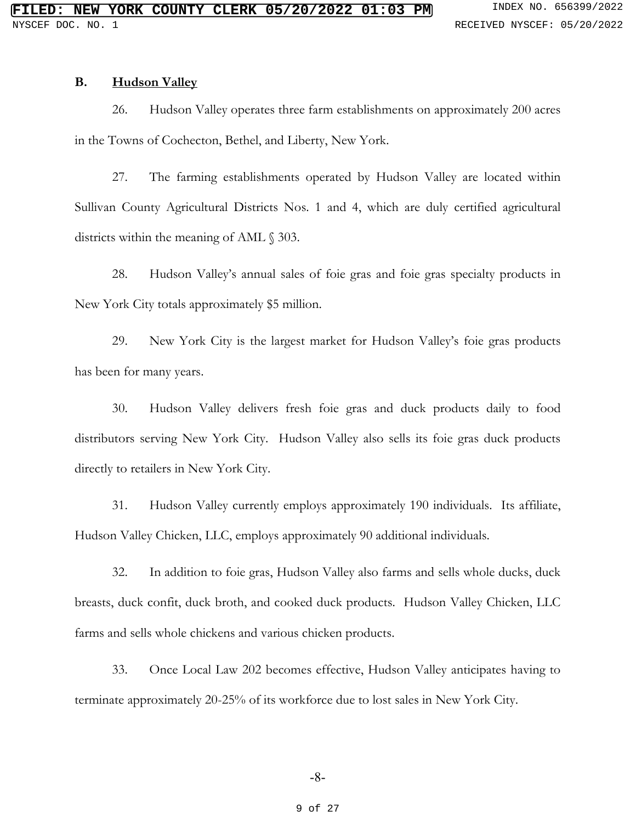#### **B. Hudson Valley**

26. Hudson Valley operates three farm establishments on approximately 200 acres in the Towns of Cochecton, Bethel, and Liberty, New York.

27. The farming establishments operated by Hudson Valley are located within Sullivan County Agricultural Districts Nos. 1 and 4, which are duly certified agricultural districts within the meaning of AML § 303.

28. Hudson Valley's annual sales of foie gras and foie gras specialty products in New York City totals approximately \$5 million.

29. New York City is the largest market for Hudson Valley's foie gras products has been for many years.

30. Hudson Valley delivers fresh foie gras and duck products daily to food distributors serving New York City. Hudson Valley also sells its foie gras duck products directly to retailers in New York City.

31. Hudson Valley currently employs approximately 190 individuals. Its affiliate, Hudson Valley Chicken, LLC, employs approximately 90 additional individuals.

32. In addition to foie gras, Hudson Valley also farms and sells whole ducks, duck breasts, duck confit, duck broth, and cooked duck products. Hudson Valley Chicken, LLC farms and sells whole chickens and various chicken products.

33. Once Local Law 202 becomes effective, Hudson Valley anticipates having to terminate approximately 20-25% of its workforce due to lost sales in New York City.

#### 9 of 27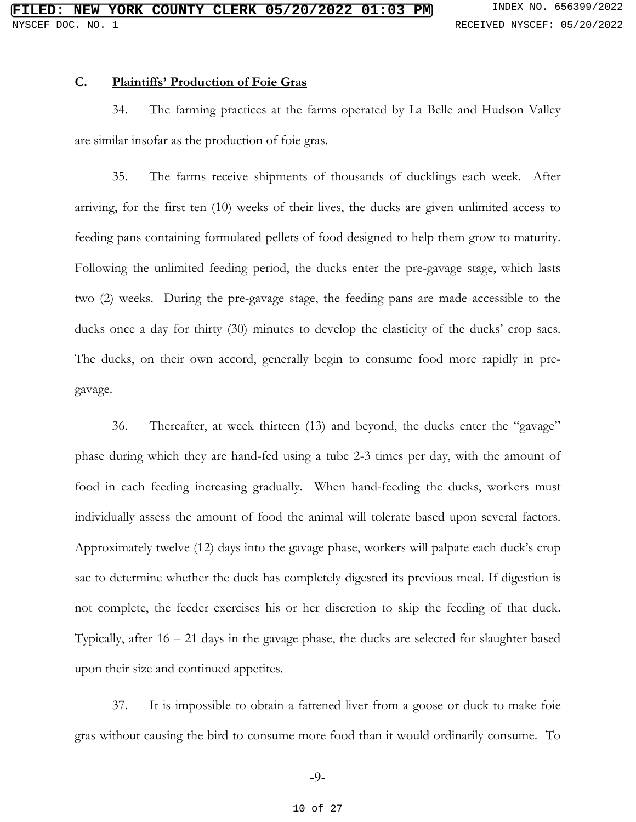### **C. Plaintiffs' Production of Foie Gras**

34. The farming practices at the farms operated by La Belle and Hudson Valley are similar insofar as the production of foie gras.

35. The farms receive shipments of thousands of ducklings each week. After arriving, for the first ten (10) weeks of their lives, the ducks are given unlimited access to feeding pans containing formulated pellets of food designed to help them grow to maturity. Following the unlimited feeding period, the ducks enter the pre-gavage stage, which lasts two (2) weeks. During the pre-gavage stage, the feeding pans are made accessible to the ducks once a day for thirty (30) minutes to develop the elasticity of the ducks' crop sacs. The ducks, on their own accord, generally begin to consume food more rapidly in pregavage.

36. Thereafter, at week thirteen (13) and beyond, the ducks enter the "gavage" phase during which they are hand-fed using a tube 2-3 times per day, with the amount of food in each feeding increasing gradually. When hand-feeding the ducks, workers must individually assess the amount of food the animal will tolerate based upon several factors. Approximately twelve (12) days into the gavage phase, workers will palpate each duck's crop sac to determine whether the duck has completely digested its previous meal. If digestion is not complete, the feeder exercises his or her discretion to skip the feeding of that duck. Typically, after 16 – 21 days in the gavage phase, the ducks are selected for slaughter based upon their size and continued appetites.

37. It is impossible to obtain a fattened liver from a goose or duck to make foie gras without causing the bird to consume more food than it would ordinarily consume. To

-9-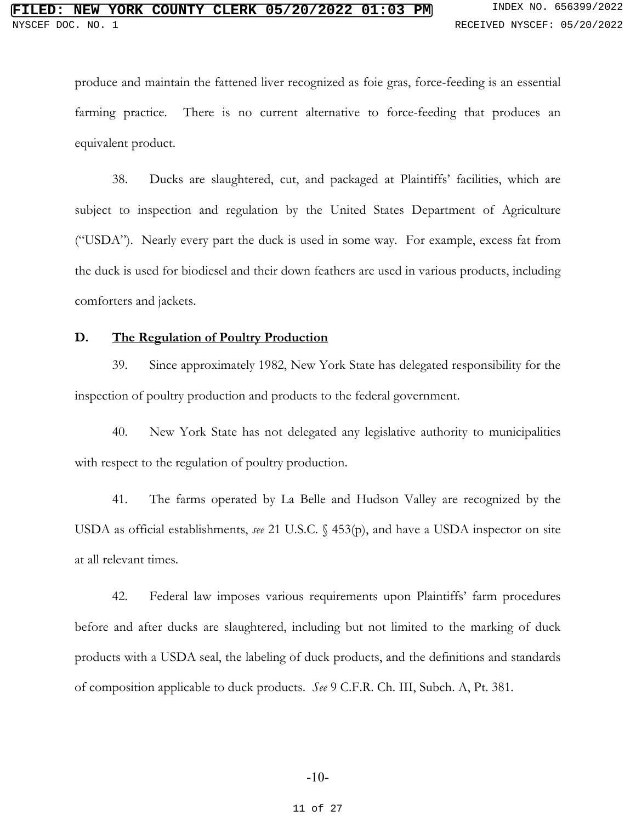produce and maintain the fattened liver recognized as foie gras, force-feeding is an essential farming practice. There is no current alternative to force-feeding that produces an equivalent product.

38. Ducks are slaughtered, cut, and packaged at Plaintiffs' facilities, which are subject to inspection and regulation by the United States Department of Agriculture ("USDA"). Nearly every part the duck is used in some way. For example, excess fat from the duck is used for biodiesel and their down feathers are used in various products, including comforters and jackets.

### **D. The Regulation of Poultry Production**

39. Since approximately 1982, New York State has delegated responsibility for the inspection of poultry production and products to the federal government.

40. New York State has not delegated any legislative authority to municipalities with respect to the regulation of poultry production.

41. The farms operated by La Belle and Hudson Valley are recognized by the USDA as official establishments, *see* 21 U.S.C. § 453(p), and have a USDA inspector on site at all relevant times.

42. Federal law imposes various requirements upon Plaintiffs' farm procedures before and after ducks are slaughtered, including but not limited to the marking of duck products with a USDA seal, the labeling of duck products, and the definitions and standards of composition applicable to duck products. *See* 9 C.F.R. Ch. III, Subch. A, Pt. 381.

#### -10-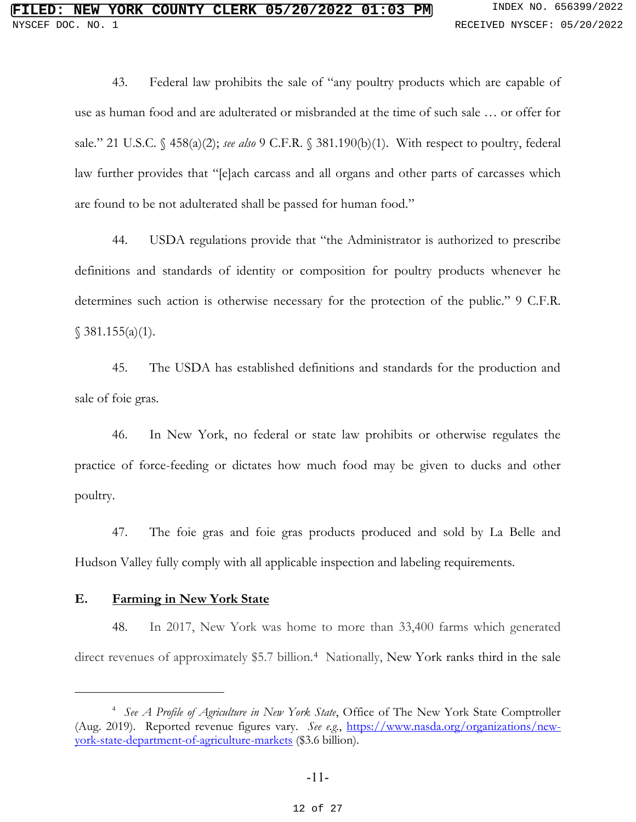43. Federal law prohibits the sale of "any poultry products which are capable of use as human food and are adulterated or misbranded at the time of such sale … or offer for sale." 21 U.S.C. § 458(a)(2); *see also* 9 C.F.R. § 381.190(b)(1). With respect to poultry, federal law further provides that "[e]ach carcass and all organs and other parts of carcasses which are found to be not adulterated shall be passed for human food."

44. USDA regulations provide that "the Administrator is authorized to prescribe definitions and standards of identity or composition for poultry products whenever he determines such action is otherwise necessary for the protection of the public." 9 C.F.R.  $$381.155(a)(1).$ 

45. The USDA has established definitions and standards for the production and sale of foie gras.

46. In New York, no federal or state law prohibits or otherwise regulates the practice of force-feeding or dictates how much food may be given to ducks and other poultry.

47. The foie gras and foie gras products produced and sold by La Belle and Hudson Valley fully comply with all applicable inspection and labeling requirements.

### **E. Farming in New York State**

48. In 2017, New York was home to more than 33,400 farms which generated direct revenues of approximately \$5.7 billion.<sup>[4](#page-11-0)</sup> Nationally, New York ranks third in the sale

<span id="page-11-0"></span><sup>4</sup> *See A Profile of Agriculture in New York State*, Office of The New York State Comptroller (Aug. 2019). Reported revenue figures vary. *See e.g.*, [https://www.nasda.org/organizations/new](https://www.nasda.org/organizations/new-york-state-department-of-agriculture-markets)[york-state-department-of-agriculture-markets](https://www.nasda.org/organizations/new-york-state-department-of-agriculture-markets) (\$3.6 billion).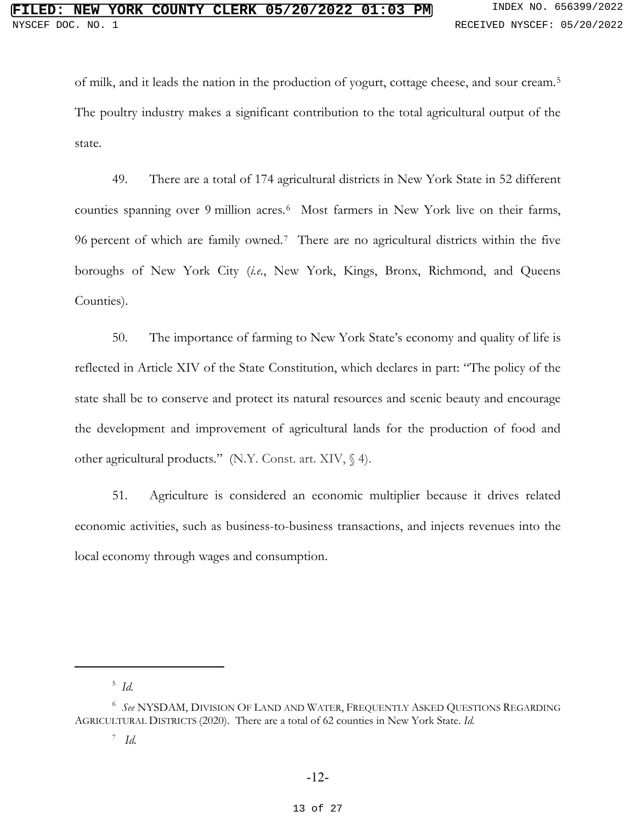of milk, and it leads the nation in the production of yogurt, cottage cheese, and sour cream.[5](#page-12-0) The poultry industry makes a significant contribution to the total agricultural output of the state.

49. There are a total of 174 agricultural districts in New York State in 52 different counties spanning over 9 million acres.<sup>6</sup> Most farmers in New York live on their farms, 96 percent of which are family owned.[7](#page-12-2) There are no agricultural districts within the five boroughs of New York City (*i.e.*, New York, Kings, Bronx, Richmond, and Queens Counties).

50. The importance of farming to New York State's economy and quality of life is reflected in Article XIV of the State Constitution, which declares in part: "The policy of the state shall be to conserve and protect its natural resources and scenic beauty and encourage the development and improvement of agricultural lands for the production of food and other agricultural products." (N.Y. Const. art. XIV, § 4).

51. Agriculture is considered an economic multiplier because it drives related economic activities, such as business-to-business transactions, and injects revenues into the local economy through wages and consumption.

<sup>5</sup> *Id.*

<span id="page-12-2"></span><span id="page-12-1"></span><span id="page-12-0"></span><sup>6</sup> *See* NYSDAM, DIVISION OF LAND AND WATER, FREQUENTLY ASKED QUESTIONS REGARDING AGRICULTURAL DISTRICTS (2020). There are a total of 62 counties in New York State. *Id.*

<sup>7</sup> *Id.*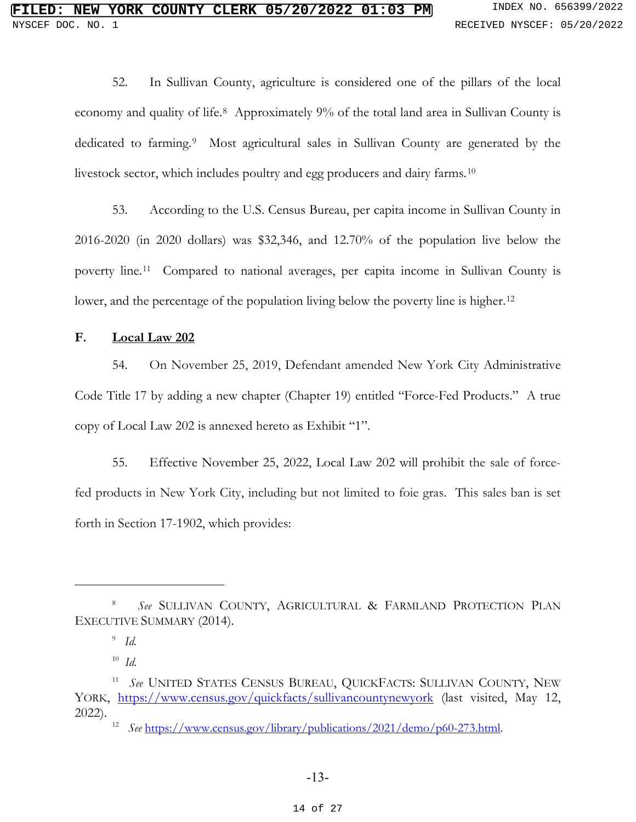52. In Sullivan County, agriculture is considered one of the pillars of the local economy and quality of life.[8](#page-13-0) Approximately 9% of the total land area in Sullivan County is dedicated to farming.<sup>[9](#page-13-1)</sup> Most agricultural sales in Sullivan County are generated by the livestock sector, which includes poultry and egg producers and dairy farms.[10](#page-13-2) 

53. According to the U.S. Census Bureau, per capita income in Sullivan County in 2016-2020 (in 2020 dollars) was \$32,346, and 12.70% of the population live below the poverty line.[11](#page-13-3) Compared to national averages, per capita income in Sullivan County is lower, and the percentage of the population living below the poverty line is higher.<sup>12</sup>

### **F. Local Law 202**

54. On November 25, 2019, Defendant amended New York City Administrative Code Title 17 by adding a new chapter (Chapter 19) entitled "Force-Fed Products." A true copy of Local Law 202 is annexed hereto as Exhibit "1".

55. Effective November 25, 2022, Local Law 202 will prohibit the sale of forcefed products in New York City, including but not limited to foie gras. This sales ban is set forth in Section 17-1902, which provides:

<span id="page-13-1"></span><span id="page-13-0"></span><sup>8</sup>  *See* SULLIVAN COUNTY, AGRICULTURAL & FARMLAND PROTECTION PLAN EXECUTIVE SUMMARY (2014).

<sup>9</sup> *Id.*

<sup>10</sup> *Id.*

<span id="page-13-4"></span><span id="page-13-3"></span><span id="page-13-2"></span><sup>11</sup> *See* UNITED STATES CENSUS BUREAU, QUICKFACTS: SULLIVAN COUNTY, NEW YORK, <https://www.census.gov/quickfacts/sullivancountynewyork> (last visited, May 12, 2022).

<sup>&</sup>lt;sup>12</sup> *See* [https://www.census.gov/library/publications/2021/demo/p60-273.html.](https://www.census.gov/library/publications/2021/demo/p60-273.html)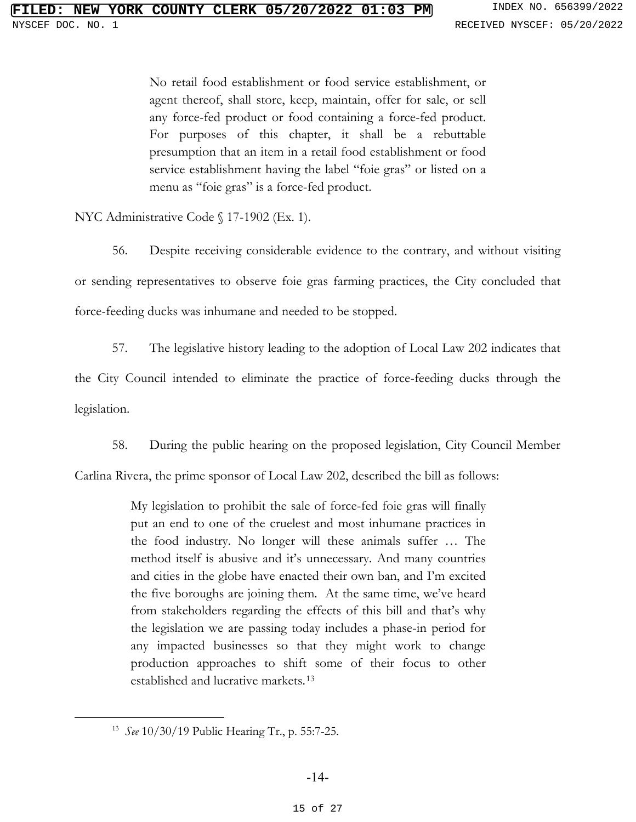No retail food establishment or food service establishment, or agent thereof, shall store, keep, maintain, offer for sale, or sell any force-fed product or food containing a force-fed product. For purposes of this chapter, it shall be a rebuttable presumption that an item in a retail food establishment or food service establishment having the label "foie gras" or listed on a menu as "foie gras" is a force-fed product.

NYC Administrative Code § 17-1902 (Ex. 1).

56. Despite receiving considerable evidence to the contrary, and without visiting or sending representatives to observe foie gras farming practices, the City concluded that force-feeding ducks was inhumane and needed to be stopped.

57. The legislative history leading to the adoption of Local Law 202 indicates that the City Council intended to eliminate the practice of force-feeding ducks through the

legislation.

58. During the public hearing on the proposed legislation, City Council Member

Carlina Rivera, the prime sponsor of Local Law 202, described the bill as follows:

My legislation to prohibit the sale of force-fed foie gras will finally put an end to one of the cruelest and most inhumane practices in the food industry. No longer will these animals suffer … The method itself is abusive and it's unnecessary. And many countries and cities in the globe have enacted their own ban, and I'm excited the five boroughs are joining them. At the same time, we've heard from stakeholders regarding the effects of this bill and that's why the legislation we are passing today includes a phase-in period for any impacted businesses so that they might work to change production approaches to shift some of their focus to other established and lucrative markets.[13](#page-14-0)

<span id="page-14-0"></span><sup>13</sup> *See* 10/30/19 Public Hearing Tr., p. 55:7-25.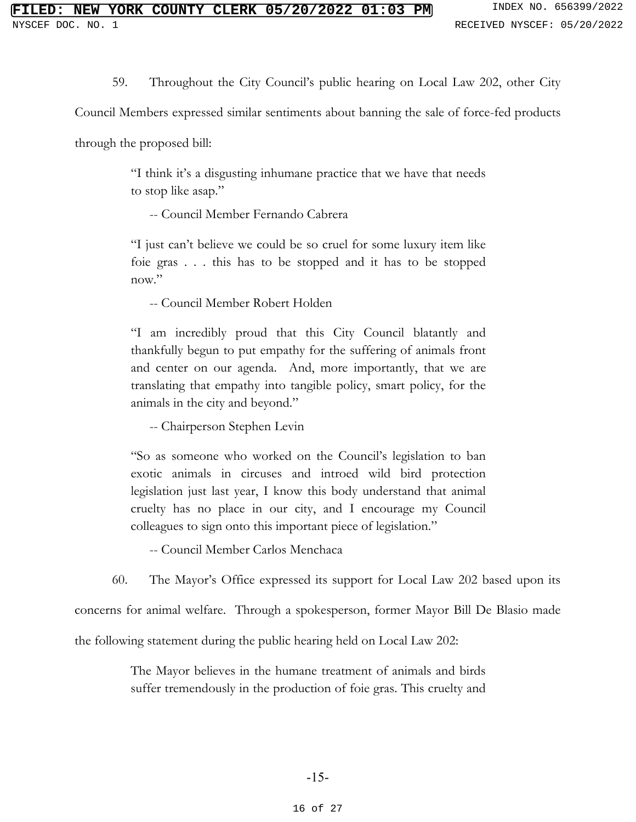59. Throughout the City Council's public hearing on Local Law 202, other City

Council Members expressed similar sentiments about banning the sale of force-fed products

through the proposed bill:

"I think it's a disgusting inhumane practice that we have that needs to stop like asap."

-- Council Member Fernando Cabrera

"I just can't believe we could be so cruel for some luxury item like foie gras . . . this has to be stopped and it has to be stopped now."

-- Council Member Robert Holden

"I am incredibly proud that this City Council blatantly and thankfully begun to put empathy for the suffering of animals front and center on our agenda. And, more importantly, that we are translating that empathy into tangible policy, smart policy, for the animals in the city and beyond."

-- Chairperson Stephen Levin

"So as someone who worked on the Council's legislation to ban exotic animals in circuses and introed wild bird protection legislation just last year, I know this body understand that animal cruelty has no place in our city, and I encourage my Council colleagues to sign onto this important piece of legislation."

-- Council Member Carlos Menchaca

60. The Mayor's Office expressed its support for Local Law 202 based upon its

concerns for animal welfare. Through a spokesperson, former Mayor Bill De Blasio made

the following statement during the public hearing held on Local Law 202:

The Mayor believes in the humane treatment of animals and birds suffer tremendously in the production of foie gras. This cruelty and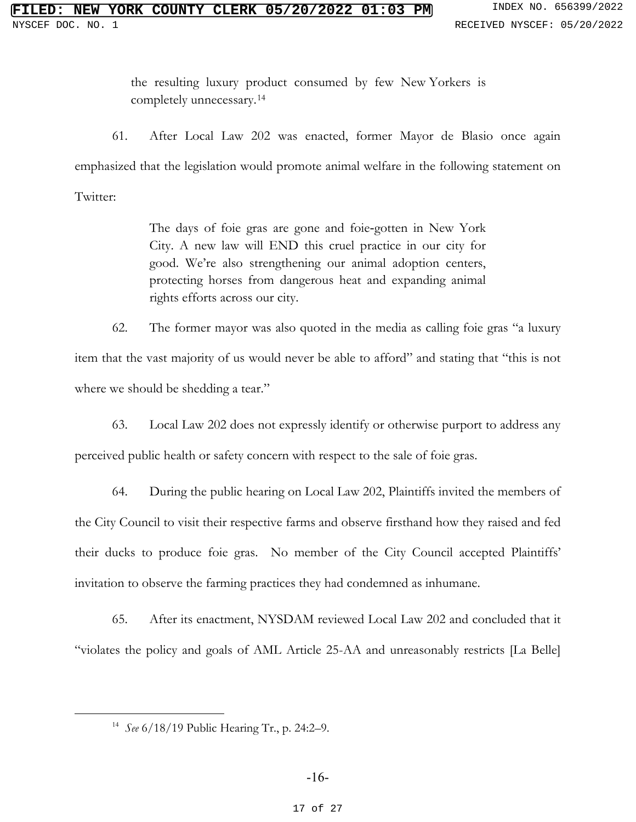the resulting luxury product consumed by few New Yorkers is completely unnecessary.[14](#page-16-0)

61. After Local Law 202 was enacted, former Mayor de Blasio once again emphasized that the legislation would promote animal welfare in the following statement on Twitter:

> The days of foie gras are gone and foie‐gotten in New York City. A new law will END this cruel practice in our city for good. We're also strengthening our animal adoption centers, protecting horses from dangerous heat and expanding animal rights efforts across our city.

62. The former mayor was also quoted in the media as calling foie gras "a luxury item that the vast majority of us would never be able to afford" and stating that "this is not where we should be shedding a tear."

63. Local Law 202 does not expressly identify or otherwise purport to address any perceived public health or safety concern with respect to the sale of foie gras.

64. During the public hearing on Local Law 202, Plaintiffs invited the members of the City Council to visit their respective farms and observe firsthand how they raised and fed their ducks to produce foie gras. No member of the City Council accepted Plaintiffs' invitation to observe the farming practices they had condemned as inhumane.

65. After its enactment, NYSDAM reviewed Local Law 202 and concluded that it "violates the policy and goals of AML Article 25-AA and unreasonably restricts [La Belle]

<span id="page-16-0"></span><sup>14</sup> *See* 6/18/19 Public Hearing Tr., p. 24:2–9.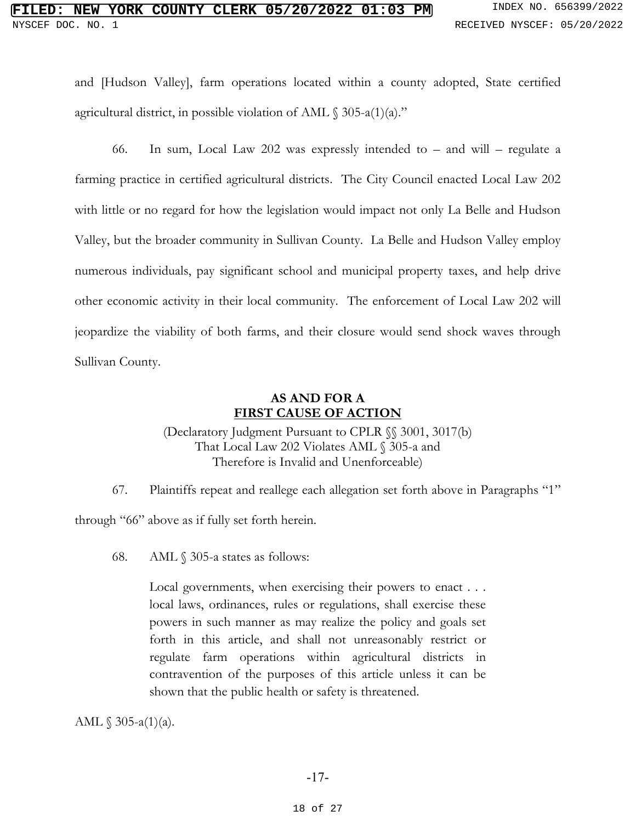# **FIRE COUNTY CLERK 05/20/2022 01:03 PM** INDEX NO. 656399/2022 NYSCEF DOC. NO. 1 **RECEIVED NYSCEF: 05/20/2022**

and [Hudson Valley], farm operations located within a county adopted, State certified agricultural district, in possible violation of AML  $\S$  305-a(1)(a)."

66. In sum, Local Law 202 was expressly intended to – and will – regulate a farming practice in certified agricultural districts. The City Council enacted Local Law 202 with little or no regard for how the legislation would impact not only La Belle and Hudson Valley, but the broader community in Sullivan County. La Belle and Hudson Valley employ numerous individuals, pay significant school and municipal property taxes, and help drive other economic activity in their local community. The enforcement of Local Law 202 will jeopardize the viability of both farms, and their closure would send shock waves through Sullivan County.

## **AS AND FOR A FIRST CAUSE OF ACTION**

(Declaratory Judgment Pursuant to CPLR §§ 3001, 3017(b) That Local Law 202 Violates AML § 305-a and Therefore is Invalid and Unenforceable)

67. Plaintiffs repeat and reallege each allegation set forth above in Paragraphs "1"

through "66" above as if fully set forth herein.

68. AML § 305-a states as follows:

Local governments, when exercising their powers to enact . . . local laws, ordinances, rules or regulations, shall exercise these powers in such manner as may realize the policy and goals set forth in this article, and shall not unreasonably restrict or regulate farm operations within agricultural districts in contravention of the purposes of this article unless it can be shown that the public health or safety is threatened.

AML  $\$305-a(1)(a)$ .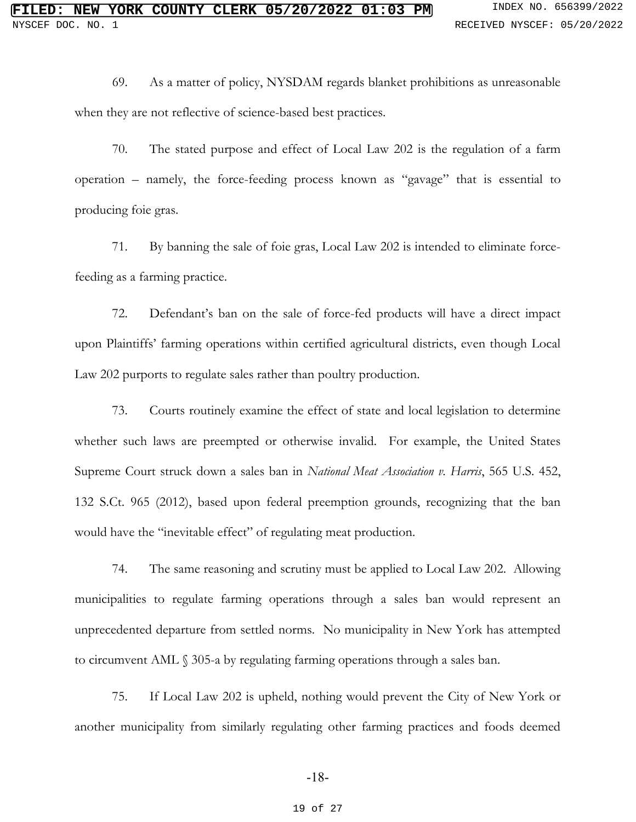69. As a matter of policy, NYSDAM regards blanket prohibitions as unreasonable when they are not reflective of science-based best practices.

70. The stated purpose and effect of Local Law 202 is the regulation of a farm operation – namely, the force-feeding process known as "gavage" that is essential to producing foie gras.

71. By banning the sale of foie gras, Local Law 202 is intended to eliminate forcefeeding as a farming practice.

72. Defendant's ban on the sale of force-fed products will have a direct impact upon Plaintiffs' farming operations within certified agricultural districts, even though Local Law 202 purports to regulate sales rather than poultry production.

73. Courts routinely examine the effect of state and local legislation to determine whether such laws are preempted or otherwise invalid. For example, the United States Supreme Court struck down a sales ban in *National Meat Association v. Harris*, 565 U.S. 452, 132 S.Ct. 965 (2012), based upon federal preemption grounds, recognizing that the ban would have the "inevitable effect" of regulating meat production.

74. The same reasoning and scrutiny must be applied to Local Law 202. Allowing municipalities to regulate farming operations through a sales ban would represent an unprecedented departure from settled norms. No municipality in New York has attempted to circumvent AML § 305-a by regulating farming operations through a sales ban.

75. If Local Law 202 is upheld, nothing would prevent the City of New York or another municipality from similarly regulating other farming practices and foods deemed

-18-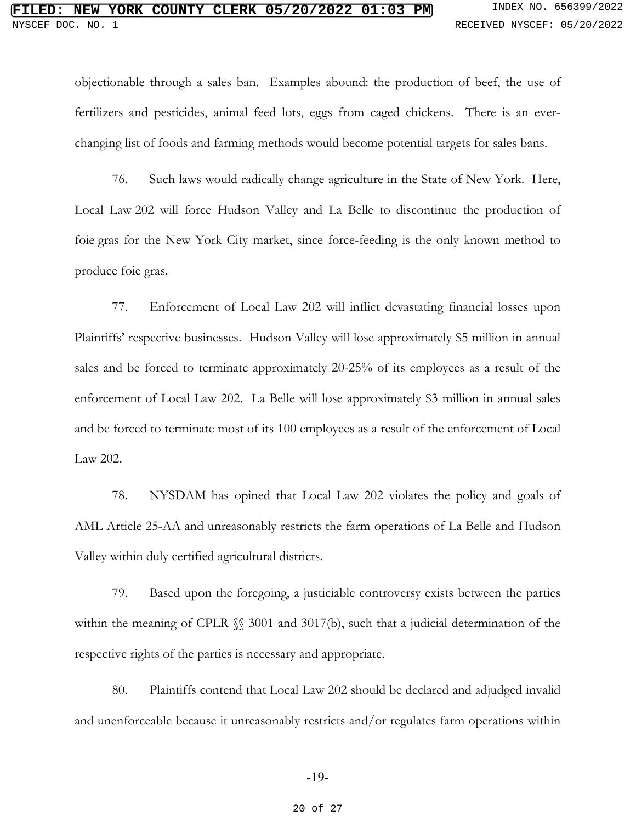objectionable through a sales ban. Examples abound: the production of beef, the use of fertilizers and pesticides, animal feed lots, eggs from caged chickens. There is an everchanging list of foods and farming methods would become potential targets for sales bans.

76. Such laws would radically change agriculture in the State of New York. Here, Local Law 202 will force Hudson Valley and La Belle to discontinue the production of foie gras for the New York City market, since force-feeding is the only known method to produce foie gras.

77. Enforcement of Local Law 202 will inflict devastating financial losses upon Plaintiffs' respective businesses. Hudson Valley will lose approximately \$5 million in annual sales and be forced to terminate approximately 20-25% of its employees as a result of the enforcement of Local Law 202. La Belle will lose approximately \$3 million in annual sales and be forced to terminate most of its 100 employees as a result of the enforcement of Local Law 202.

78. NYSDAM has opined that Local Law 202 violates the policy and goals of AML Article 25-AA and unreasonably restricts the farm operations of La Belle and Hudson Valley within duly certified agricultural districts.

79. Based upon the foregoing, a justiciable controversy exists between the parties within the meaning of CPLR  $\frac{1}{2}$  3001 and 3017(b), such that a judicial determination of the respective rights of the parties is necessary and appropriate.

80. Plaintiffs contend that Local Law 202 should be declared and adjudged invalid and unenforceable because it unreasonably restricts and/or regulates farm operations within

#### -19-

#### 20 of 27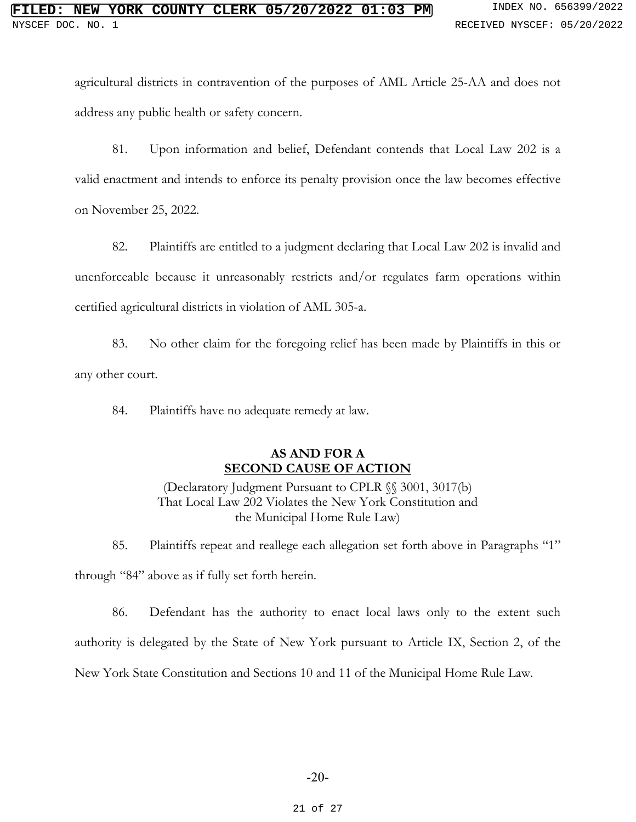agricultural districts in contravention of the purposes of AML Article 25-AA and does not address any public health or safety concern.

81. Upon information and belief, Defendant contends that Local Law 202 is a valid enactment and intends to enforce its penalty provision once the law becomes effective on November 25, 2022.

82. Plaintiffs are entitled to a judgment declaring that Local Law 202 is invalid and unenforceable because it unreasonably restricts and/or regulates farm operations within certified agricultural districts in violation of AML 305-a.

83. No other claim for the foregoing relief has been made by Plaintiffs in this or any other court.

84. Plaintiffs have no adequate remedy at law.

## **AS AND FOR A SECOND CAUSE OF ACTION**

(Declaratory Judgment Pursuant to CPLR §§ 3001, 3017(b) That Local Law 202 Violates the New York Constitution and the Municipal Home Rule Law)

85. Plaintiffs repeat and reallege each allegation set forth above in Paragraphs "1" through "84" above as if fully set forth herein.

86. Defendant has the authority to enact local laws only to the extent such authority is delegated by the State of New York pursuant to Article IX, Section 2, of the New York State Constitution and Sections 10 and 11 of the Municipal Home Rule Law.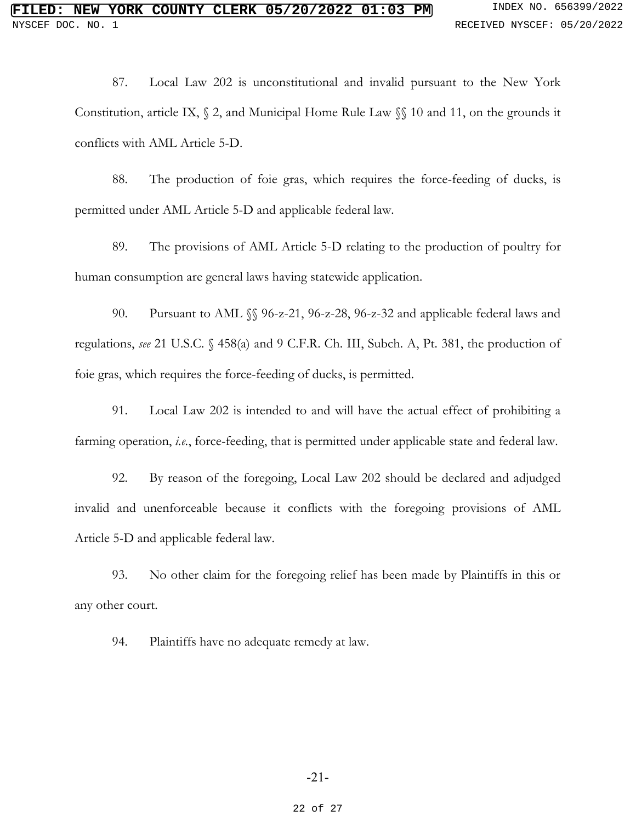87. Local Law 202 is unconstitutional and invalid pursuant to the New York Constitution, article IX, § 2, and Municipal Home Rule Law §§ 10 and 11, on the grounds it conflicts with AML Article 5-D.

88. The production of foie gras, which requires the force-feeding of ducks, is permitted under AML Article 5-D and applicable federal law.

89. The provisions of AML Article 5-D relating to the production of poultry for human consumption are general laws having statewide application.

90. Pursuant to AML §§ 96-z-21, 96-z-28, 96-z-32 and applicable federal laws and regulations, *see* 21 U.S.C. § 458(a) and 9 C.F.R. Ch. III, Subch. A, Pt. 381, the production of foie gras, which requires the force-feeding of ducks, is permitted.

91. Local Law 202 is intended to and will have the actual effect of prohibiting a farming operation, *i.e.*, force-feeding, that is permitted under applicable state and federal law.

92. By reason of the foregoing, Local Law 202 should be declared and adjudged invalid and unenforceable because it conflicts with the foregoing provisions of AML Article 5-D and applicable federal law.

93. No other claim for the foregoing relief has been made by Plaintiffs in this or any other court.

94. Plaintiffs have no adequate remedy at law.

#### -21-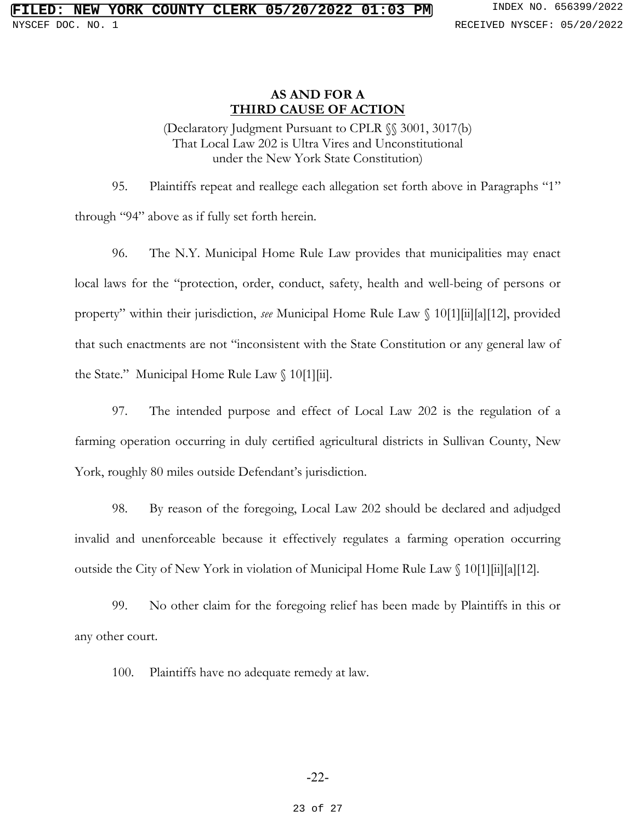### **AS AND FOR A THIRD CAUSE OF ACTION**

(Declaratory Judgment Pursuant to CPLR §§ 3001, 3017(b) That Local Law 202 is Ultra Vires and Unconstitutional under the New York State Constitution)

95. Plaintiffs repeat and reallege each allegation set forth above in Paragraphs "1" through "94" above as if fully set forth herein.

96. The N.Y. Municipal Home Rule Law provides that municipalities may enact local laws for the "protection, order, conduct, safety, health and well-being of persons or property" within their jurisdiction, *see* Municipal Home Rule Law § 10[1][ii][a][12], provided that such enactments are not "inconsistent with the State Constitution or any general law of the State." Municipal Home Rule Law  $\int 10[1][\text{ii}]$ .

97. The intended purpose and effect of Local Law 202 is the regulation of a farming operation occurring in duly certified agricultural districts in Sullivan County, New York, roughly 80 miles outside Defendant's jurisdiction.

98. By reason of the foregoing, Local Law 202 should be declared and adjudged invalid and unenforceable because it effectively regulates a farming operation occurring outside the City of New York in violation of Municipal Home Rule Law § 10[1][ii][a][12].

99. No other claim for the foregoing relief has been made by Plaintiffs in this or any other court.

100. Plaintiffs have no adequate remedy at law.

### -22-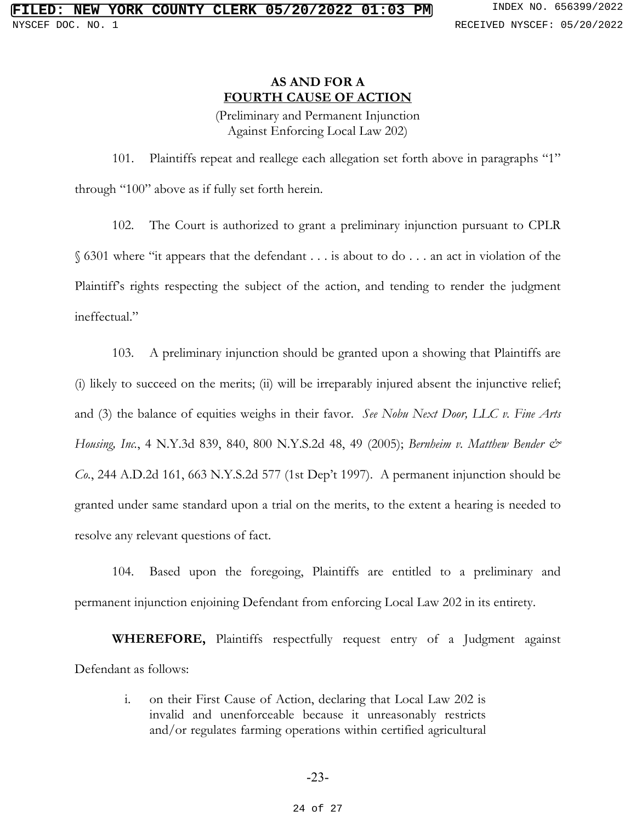## **AS AND FOR A FOURTH CAUSE OF ACTION**

(Preliminary and Permanent Injunction Against Enforcing Local Law 202)

101. Plaintiffs repeat and reallege each allegation set forth above in paragraphs "1" through "100" above as if fully set forth herein.

102. The Court is authorized to grant a preliminary injunction pursuant to CPLR § 6301 where "it appears that the defendant . . . is about to do . . . an act in violation of the Plaintiff's rights respecting the subject of the action, and tending to render the judgment ineffectual."

103. A preliminary injunction should be granted upon a showing that Plaintiffs are (i) likely to succeed on the merits; (ii) will be irreparably injured absent the injunctive relief; and (3) the balance of equities weighs in their favor. *See Nobu Next Door, LLC v. Fine Arts Housing, Inc.*, 4 N.Y.3d 839, 840, 800 N.Y.S.2d 48, 49 (2005); *Bernheim v. Matthew Bender & Co.*, 244 A.D.2d 161, 663 N.Y.S.2d 577 (1st Dep't 1997). A permanent injunction should be granted under same standard upon a trial on the merits, to the extent a hearing is needed to resolve any relevant questions of fact.

104. Based upon the foregoing, Plaintiffs are entitled to a preliminary and permanent injunction enjoining Defendant from enforcing Local Law 202 in its entirety.

**WHEREFORE,** Plaintiffs respectfully request entry of a Judgment against Defendant as follows:

> i. on their First Cause of Action, declaring that Local Law 202 is invalid and unenforceable because it unreasonably restricts and/or regulates farming operations within certified agricultural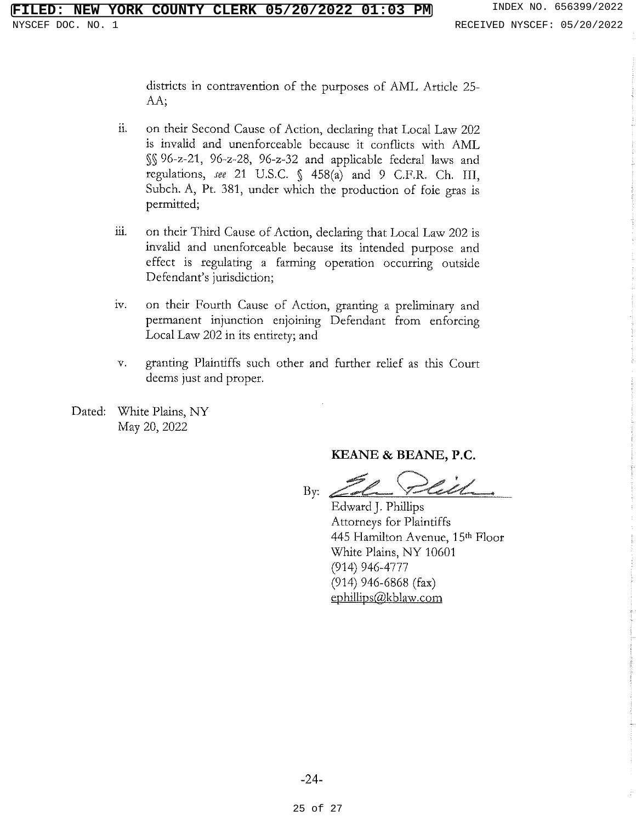districts in contravention of the purposes of AML Article 25-AA:

- ii. on their Second Cause of Action, declaring that Local Law 202 is invalid and unenforceable because it conflicts with AML §§ 96-z-21, 96-z-28, 96-z-32 and applicable federal laws and regulations, see 21 U.S.C. § 458(a) and 9 C.F.R. Ch. III, Subch. A, Pt. 381, under which the production of foie gras is permitted;
- ш. on their Third Cause of Action, declaring that Local Law 202 is invalid and unenforceable because its intended purpose and effect is regulating a farming operation occurring outside Defendant's jurisdiction;
- iv. on their Fourth Cause of Action, granting a preliminary and permanent injunction enjoining Defendant from enforcing Local Law 202 in its entirety; and
- $V<sub>1</sub>$ granting Plaintiffs such other and further relief as this Court deems just and proper.
- White Plains, NY Dated: May 20, 2022

#### KEANE & BEANE, P.C.

By.

Edward J. Phillips Attorneys for Plaintiffs 445 Hamilton Avenue, 15th Floor White Plains, NY 10601  $(914)$  946-4777  $(914)$  946-6868 (fax) ephillips@kblaw.com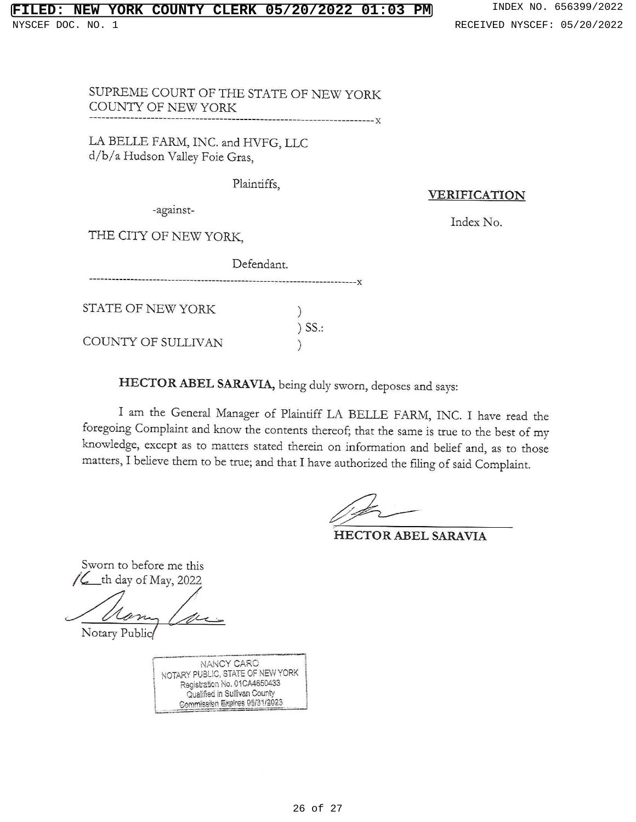SUPREME COURT OF THE STATE OF NEW YORK COUNTY OF NEW YORK  $---x$ 

LA BELLE FARM, INC. and HVFG, LLC d/b/a Hudson Valley Foie Gras,

Plaintiffs,

**VERIFICATION** 

-against-

Index No.

THE CITY OF NEW YORK,

|                    | Defendant. |  |
|--------------------|------------|--|
| STATE OF NEW YORK  |            |  |
|                    | $)$ SS.:   |  |
| COUNTY OF SULLIVAN |            |  |

HECTOR ABEL SARAVIA, being duly sworn, deposes and says:

I am the General Manager of Plaintiff LA BELLE FARM, INC. I have read the foregoing Complaint and know the contents thereof; that the same is true to the best of my knowledge, except as to matters stated therein on information and belief and, as to those matters, I believe them to be true; and that I have authorized the filing of said Complaint.

HECTOR ABEL SARAVIA

Sworn to before me this  $\mathcal{L}_{\text{th}}$  th day of May, 2022

Notary Public

**NANCY CARO** NOTARY PUBLIC, STATE OF NEW YORK Registration No. 01CA4650433 Qualified in Sullivan County Commission Expires 95/31/2023